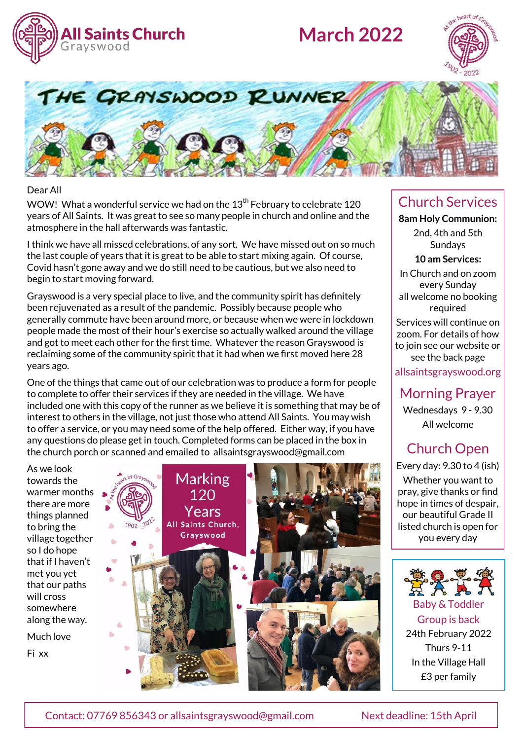

# **March 2022**





#### Dear All

WOW! What a wonderful service we had on the  $13<sup>th</sup>$  February to celebrate 120 years of All Saints. It was great to see so many people in church and online and the atmosphere in the hall afterwards was fantastic.

I think we have all missed celebrations, of any sort. We have missed out on so much the last couple of years that it is great to be able to start mixing again. Of course, Covid hasn't gone away and we do still need to be cautious, but we also need to begin to start moving forward.

Grayswood is a very special place to live, and the community spirit has definitely been rejuvenated as a result of the pandemic. Possibly because people who generally commute have been around more, or because when we were in lockdown people made the most of their hour's exercise so actually walked around the village and got to meet each other for the first time. Whatever the reason Grayswood is reclaiming some of the community spirit that it had when we first moved here 28 years ago.

One of the things that came out of our celebration was to produce a form for people to complete to offer their services if they are needed in the village. We have included one with this copy of the runner as we believe it is something that may be of interest to others in the village, not just those who attend All Saints. You may wish to offer a service, or you may need some of the help offered. Either way, if you have any questions do please get in touch. Completed forms can be placed in the box in the church porch or scanned and emailed to allsaintsgrayswood@gmail.com

As we look towards the warmer months there are more things planned to bring the village together so I do hope that if I haven't met you yet that our paths will cross somewhere along the way. Much love Fi xx



#### Church Services

**8am Holy Communion:**  2nd, 4th and 5th **Sundays** 

**10 am Services:** 

In Church and on zoom every Sunday all welcome no booking required

Services will continue on zoom. For details of how to join see our website or see the back page

allsaintsgrayswood.org

Morning Prayer

Wednesdays 9 - 9.30 All welcome

## Church Open

Every day: 9.30 to 4 (ish)

Whether you want to pray, give thanks or find hope in times of despair, our beautiful Grade II listed church is open for you every day



Baby & Toddler Group is back 24th February 2022 Thurs 9-11 In the Village Hall £3 per family

Contact: 07769 856343 or allsaintsgrayswood@gmail.com Next deadline: 15th April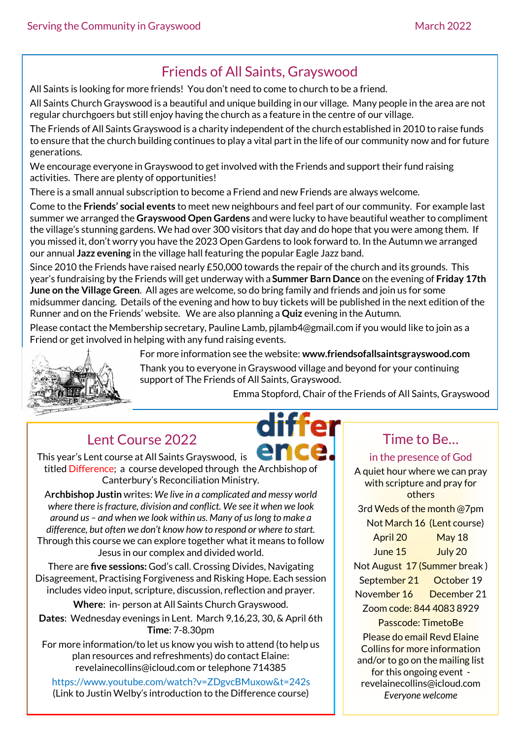## Friends of All Saints, Grayswood

All Saints is looking for more friends! You don't need to come to church to be a friend.

All Saints Church Grayswood is a beautiful and unique building in our village. Many people in the area are not regular churchgoers but still enjoy having the church as a feature in the centre of our village.

The Friends of All Saints Grayswood is a charity independent of the church established in 2010 to raise funds to ensure that the church building continues to play a vital part in the life of our community now and for future generations.

We encourage everyone in Grayswood to get involved with the Friends and support their fund raising activities. There are plenty of opportunities!

There is a small annual subscription to become a Friend and new Friends are always welcome.

Come to the **Friends' social events** to meet new neighbours and feel part of our community. For example last summer we arranged the **Grayswood Open Gardens** and were lucky to have beautiful weather to compliment the village's stunning gardens. We had over 300 visitors that day and do hope that you were among them. If you missed it, don't worry you have the 2023 Open Gardens to look forward to. In the Autumn we arranged our annual **Jazz evening** in the village hall featuring the popular Eagle Jazz band.

Since 2010 the Friends have raised nearly £50,000 towards the repair of the church and its grounds. This year's fundraising by the Friends will get underway with a **Summer Barn Dance** on the evening of **Friday 17th June on the Village Green**. All ages are welcome, so do bring family and friends and join us for some midsummer dancing. Details of the evening and how to buy tickets will be published in the next edition of the Runner and on the Friends' website. We are also planning a **Quiz** evening in the Autumn.

Please contact the Membership secretary, Pauline Lamb, pjlamb4@gmail.com if you would like to join as a Friend or get involved in helping with any fund raising events.



For more information see the website: **www.friendsofallsaintsgrayswood.com**

Thank you to everyone in Grayswood village and beyond for your continuing support of The Friends of All Saints, Grayswood.

Emma Stopford, Chair of the Friends of All Saints, Grayswood

## Lent Course 2022

This year's Lent course at All Saints Grayswood, is titled Difference; a course developed through the Archbishop of Canterbury's Reconciliation Ministry.

A**rchbishop Justin** writes: *We live in a complicated and messy world where there is fracture, division and conflict. We see it when we look around us – and when we look within us. Many of us long to make a difference, but often we don't know how to respond or where to start.*  Through this course we can explore together what it means to follow Jesus in our complex and divided world.

There are **five sessions:** God's call. Crossing Divides, Navigating Disagreement, Practising Forgiveness and Risking Hope. Each session includes video input, scripture, discussion, reflection and prayer.

**Where**: in- person at All Saints Church Grayswood.

**Dates**: Wednesday evenings in Lent. March 9,16,23, 30, & April 6th **Time**: 7-8.30pm

For more information/to let us know you wish to attend (to help us plan resources and refreshments) do contact Elaine: revelainecollins@icloud.com or telephone 714385

https://www.youtube.com/watch?v=ZDgvcBMuxow&t=242s (Link to Justin Welby's introduction to the Difference course)

# Time to Be…

#### in the presence of God

A quiet hour where we can pray with scripture and pray for others 3rd Weds of the month @7pm Not March 16 (Lent course) April 20 May 18 June 15 July 20 Not August 17 (Summer break ) September 21 October 19 November 16 December 21 Zoom code: 844 4083 8929 Passcode: TimetoBe Please do email Revd Elaine Collins for more information and/or to go on the mailing list for this ongoing event revelainecollins@icloud.com *Everyone welcome*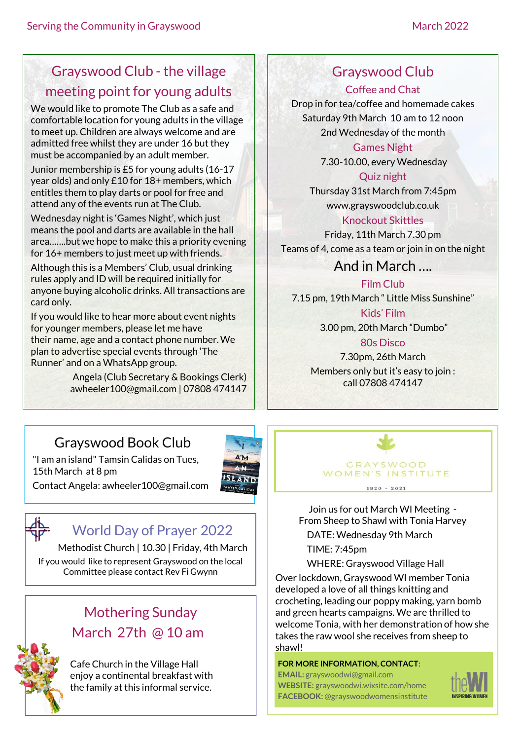## Grayswood Club - the village meeting point for young adults

We would like to promote The Club as a safe and comfortable location for young adults in the village to meet up. Children are always welcome and are admitted free whilst they are under 16 but they must be accompanied by an adult member.

Junior membership is £5 for young adults (16-17 year olds) and only £10 for 18+ members, which entitles them to play darts or pool for free and attend any of the events run at The Club.

Wednesday night is 'Games Night', which just means the pool and darts are available in the hall area…….but we hope to make this a priority evening for 16+ members to just meet up with friends.

Although this is a Members' Club, usual drinking rules apply and ID will be required initially for anyone buying alcoholic drinks. All transactions are card only.

If you would like to hear more about event nights for younger members, please let me have their name, age and a contact phone number.We plan to advertise special events through 'The Runner' and on a WhatsApp group.

> Angela (Club Secretary & Bookings Clerk) [awheeler100@gmail.com](mailto:awheeler100@gmail.com) | 07808 474147

### Grayswood Club

Coffee and Chat Drop in for tea/coffee and homemade cakes Saturday 9th March 10 am to 12 noon 2nd Wednesday of the month

Games Night

7.30-10.00, every Wednesday

Quiz night Thursday 31st March from 7:45pm www.grayswoodclub.co.uk Knockout Skittles

Friday, 11th March 7.30 pm Teams of 4, come as a team or join in on the night

And in March ….

Film Club 7.15 pm, 19th March " Little Miss Sunshine" Kids' Film 3.00 pm, 20th March "Dumbo"

80s Disco 7.30pm, 26th March Members only but it's easy to join : call 07808 474147

## Grayswood Book Club

"I am an island" Tamsin Calidas on Tues,

15th March at 8 pm



Contact Angela: awheeler100@gmail.com



### World Day of Prayer 2022

Methodist Church | 10.30 | Friday, 4th March If you would like to represent Grayswood on the local Committee please contact Rev Fi Gwynn

## Mothering Sunday March 27th @ 10 am



Cafe Church in the Village Hall enjoy a continental breakfast with the family at this informal service.

**GRAYSWOOD** WOMEN'S INSTITUTE  $1920 - 2021$ 

Join us for out March WI Meeting - From Sheep to Shawl with Tonia Harvey DATE: Wednesday 9th March

TIME: 7:45pm

WHERE: Grayswood Village Hall Over lockdown, Grayswood WI member Tonia developed a love of all things knitting and crocheting, leading our poppy making, yarn bomb and green hearts campaigns. We are thrilled to welcome Tonia, with her demonstration of how she takes the raw wool she receives from sheep to shawl!

#### **FOR MORE INFORMATION, CONTACT**:

**EMAIL:** grayswoodwi@gmail.com **WEBSITE:** grayswoodwi.wixsite.com/home **FACEBOOK:** @grayswoodwomensinstitute